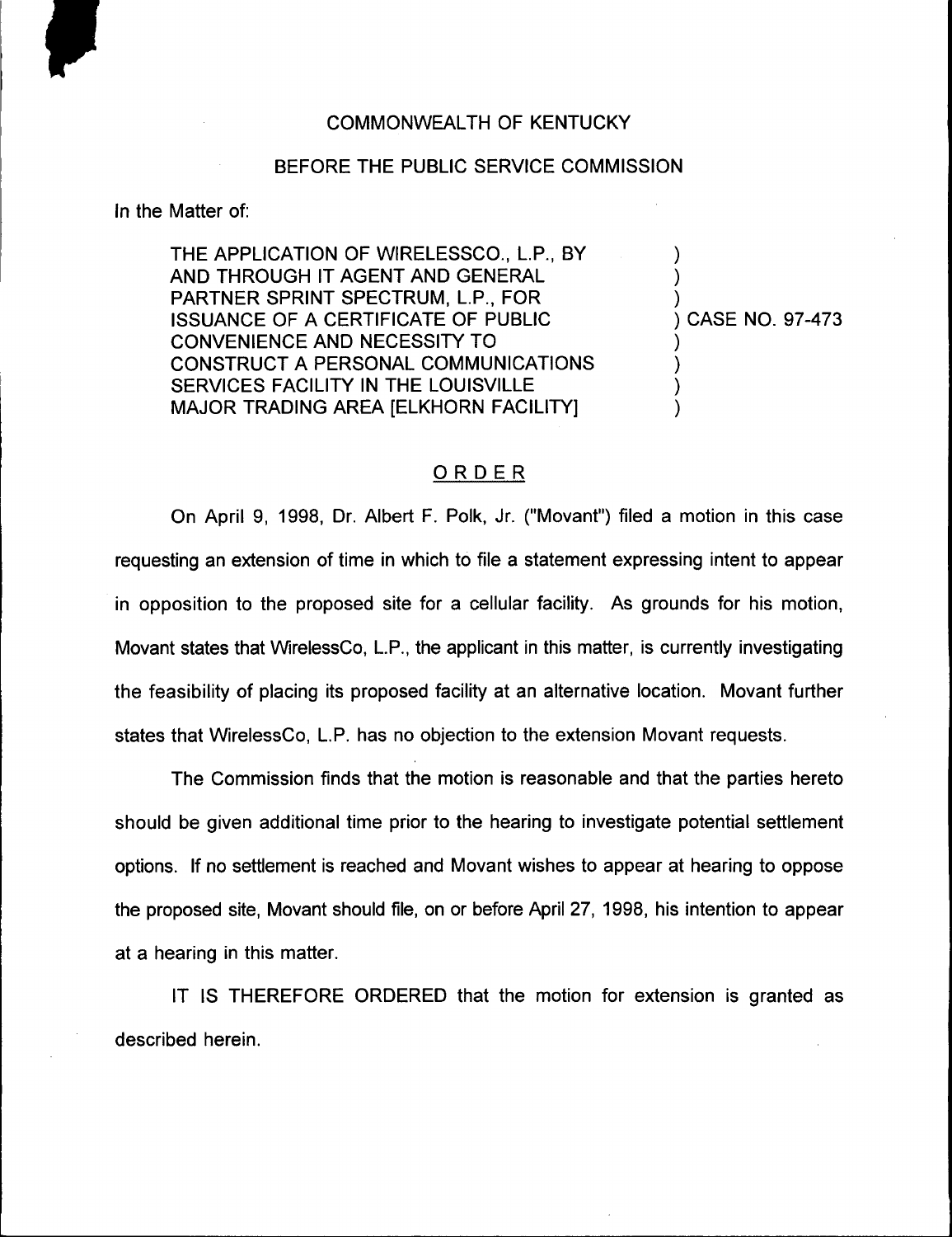## COMMONWEALTH OF KENTUCKY

## BEFORE THE PUBLIC SERVICE COMMISSION

In the Matter of:

THE APPLICATION OF WIRELESSCO., L.P., BY AND THROUGH IT AGENT AND GENERAL PARTNER SPRINT SPECTRUM, L.P., FOR ISSUANCE OF A CERTIFICATE OF PUBLIC CONVENIENCE AND NECESSITY TO CONSTRUCT A PERSONAL COMMUNICATIONS SERVICES FACILITY IN THE LOUISVILLE MAJOR TRADING AREA [ELKHORN FACILITY]

) CASE NO. 97-473

) ) )

) ) ) )

## ORDER

On April 9, 1998, Dr. Albert F. Polk, Jr. ("Movant") filed a motion in this case requesting an extension of time in which to file a statement expressing intent to appear in opposition to the proposed site for a cellular facility. As grounds for his motion, Movant states that WirelessCo, L.P., the applicant in this matter, is currently investigating the feasibility of placing its proposed facility at an alternative location. Movant further states that WirelessCo, L.P. has no objection to the extension Movant requests.

The Commission finds that the motion is reasonable and that the parties hereto should be given additional time prior to the hearing to investigate potential settlement options. If no settlement is reached and Movant wishes to appear at hearing to oppose the proposed site, Movant should file, on or before April 27, 1998, his intention to appear at a hearing in this matter.

IT IS THEREFORE ORDERED that the motion for extension is granted as described herein.